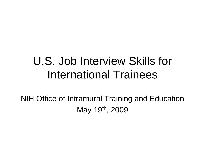### U.S. Job Interview Skills for International Trainees

NIH Office of Intramural Training and Education May 19th, 2009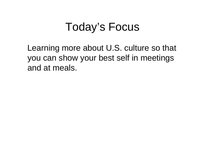#### Today's Focus

Learning more about U.S. culture so that you can show your best self in meetings and at meals.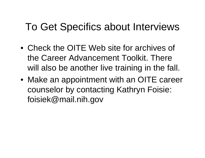#### To Get Specifics about Interviews

- Check the OITE Web site for archives of the Career Advancement Toolkit. There will also be another live training in the fall.
- Make an appointment with an OITE career counselor by contacting Kathryn Foisie: foisiek@mail.nih.gov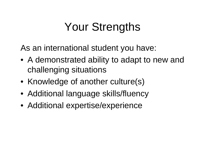# Your Strengths

As an international student you have:

- A demonstrated ability to adapt to new and challenging situations
- Knowledge of another culture(s)
- Additional language skills/fluency
- Additional expertise/experience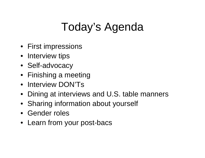# Today's Agenda

- First impressions
- Interview tips
- Self-advocacy
- Finishing a meeting
- Interview DON'Ts
- Dining at interviews and U.S. table manners
- Sharing information about yourself
- Gender roles
- Learn from your post-bacs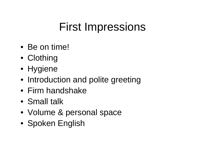### First Impressions

- Be on time!
- Clothing
- Hygiene
- Introduction and polite greeting
- Firm handshake
- Small talk
- Volume & personal space
- Spoken English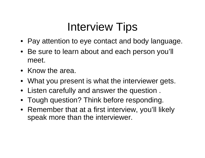## Interview Tips

- Pay attention to eye contact and body language.
- Be sure to learn about and each person you'll meet.
- Know the area.
- What you present is what the interviewer gets.
- Listen carefully and answer the question .
- Tough question? Think before responding.
- Remember that at a first interview, you'll likely speak more than the interviewer.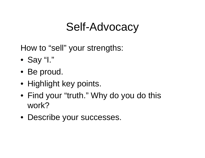### Self-Advocacy

How to "sell" your strengths:

- Say "I."
- Be proud.
- Highlight key points.
- Find your "truth." Why do you do this work?
- Describe your successes.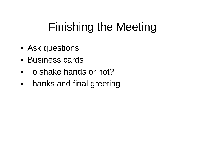## Finishing the Meeting

- Ask questions
- Business cards
- To shake hands or not?
- Thanks and final greeting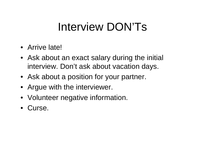## Interview DON'Ts

- Arrive late!
- Ask about an exact salary during the initial interview. Don't ask about vacation days.
- Ask about a position for your partner.
- Argue with the interviewer.
- Volunteer negative information.
- Curse.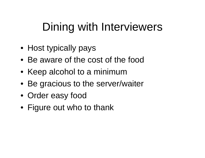## Dining with Interviewers

- Host typically pays
- Be aware of the cost of the food
- Keep alcohol to a minimum
- Be gracious to the server/waiter
- Order easy food
- Figure out who to thank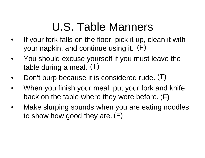## U.S. Table Manners

- • If your fork falls on the floor, pick it up, clean it with your napkin, and continue using it. (F)
- • You should excuse yourself if you must leave the table during a meal. (T)
- •• Don't burp because it is considered rude. (T)
- • When you finish your meal, put your fork and knife back on the table where they were before. (F)
- • Make slurping sounds when you are eating noodles to show how good they are. (F)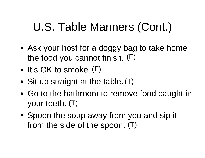# U.S. Table Manners (Cont.)

- Ask your host for a doggy bag to take home the food you cannot finish. (F)
- It's OK to smoke. (F)
- Sit up straight at the table. (T)
- Go to the bathroom to remove food caught in your teeth. (T)
- Spoon the soup away from you and sip it from the side of the spoon. (T)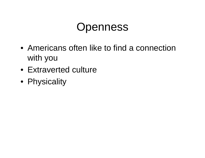#### **Openness**

- Americans often like to find a connection with you
- Extraverted culture
- Physicality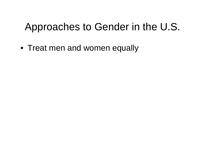#### Approaches to Gender in the U.S.

• Treat men and women equally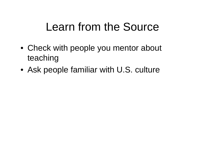### Learn from the Source

- Check with people you mentor about teaching
- Ask people familiar with U.S. culture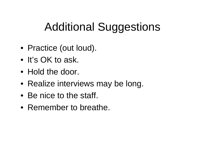## Additional Suggestions

- Practice (out loud).
- It's OK to ask.
- Hold the door.
- Realize interviews may be long.
- Be nice to the staff.
- Remember to breathe.